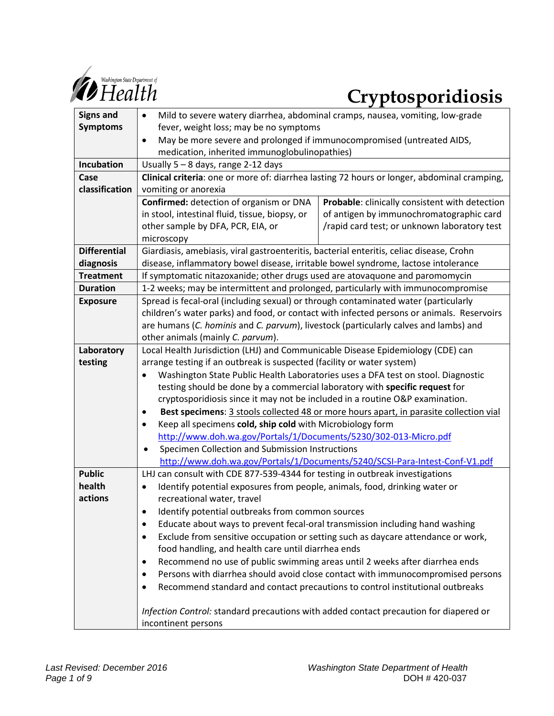

# *Cryptosporidiosis Cryptosporidiosis*

| <b>Signs and</b>    | Mild to severe watery diarrhea, abdominal cramps, nausea, vomiting, low-grade<br>$\bullet$          |                                                |
|---------------------|-----------------------------------------------------------------------------------------------------|------------------------------------------------|
| <b>Symptoms</b>     | fever, weight loss; may be no symptoms                                                              |                                                |
|                     | May be more severe and prolonged if immunocompromised (untreated AIDS,<br>$\bullet$                 |                                                |
|                     | medication, inherited immunoglobulinopathies)                                                       |                                                |
| Incubation          | Usually $5 - 8$ days, range 2-12 days                                                               |                                                |
| Case                | Clinical criteria: one or more of: diarrhea lasting 72 hours or longer, abdominal cramping,         |                                                |
| classification      | vomiting or anorexia                                                                                |                                                |
|                     | Confirmed: detection of organism or DNA                                                             | Probable: clinically consistent with detection |
|                     | in stool, intestinal fluid, tissue, biopsy, or                                                      | of antigen by immunochromatographic card       |
|                     | other sample by DFA, PCR, EIA, or                                                                   | /rapid card test; or unknown laboratory test   |
|                     | microscopy                                                                                          |                                                |
| <b>Differential</b> | Giardiasis, amebiasis, viral gastroenteritis, bacterial enteritis, celiac disease, Crohn            |                                                |
| diagnosis           | disease, inflammatory bowel disease, irritable bowel syndrome, lactose intolerance                  |                                                |
| <b>Treatment</b>    | If symptomatic nitazoxanide; other drugs used are atovaquone and paromomycin                        |                                                |
| <b>Duration</b>     | 1-2 weeks; may be intermittent and prolonged, particularly with immunocompromise                    |                                                |
| <b>Exposure</b>     | Spread is fecal-oral (including sexual) or through contaminated water (particularly                 |                                                |
|                     | children's water parks) and food, or contact with infected persons or animals. Reservoirs           |                                                |
|                     | are humans (C. hominis and C. parvum), livestock (particularly calves and lambs) and                |                                                |
|                     | other animals (mainly C. parvum).                                                                   |                                                |
| Laboratory          | Local Health Jurisdiction (LHJ) and Communicable Disease Epidemiology (CDE) can                     |                                                |
| testing             | arrange testing if an outbreak is suspected (facility or water system)                              |                                                |
|                     | Washington State Public Health Laboratories uses a DFA test on stool. Diagnostic<br>٠               |                                                |
|                     | testing should be done by a commercial laboratory with specific request for                         |                                                |
|                     | cryptosporidiosis since it may not be included in a routine O&P examination.                        |                                                |
|                     | Best specimens: 3 stools collected 48 or more hours apart, in parasite collection vial<br>$\bullet$ |                                                |
|                     | Keep all specimens cold, ship cold with Microbiology form<br>$\bullet$                              |                                                |
|                     | http://www.doh.wa.gov/Portals/1/Documents/5230/302-013-Micro.pdf                                    |                                                |
|                     | Specimen Collection and Submission Instructions<br>$\bullet$                                        |                                                |
|                     | http://www.doh.wa.gov/Portals/1/Documents/5240/SCSI-Para-Intest-Conf-V1.pdf                         |                                                |
| <b>Public</b>       | LHJ can consult with CDE 877-539-4344 for testing in outbreak investigations                        |                                                |
| health              | Identify potential exposures from people, animals, food, drinking water or<br>$\bullet$             |                                                |
| actions             | recreational water, travel                                                                          |                                                |
|                     | Identify potential outbreaks from common sources<br>٠                                               |                                                |
|                     | Educate about ways to prevent fecal-oral transmission including hand washing<br>$\bullet$           |                                                |
|                     | Exclude from sensitive occupation or setting such as daycare attendance or work,<br>$\bullet$       |                                                |
|                     | food handling, and health care until diarrhea ends                                                  |                                                |
|                     | Recommend no use of public swimming areas until 2 weeks after diarrhea ends<br>٠                    |                                                |
|                     | Persons with diarrhea should avoid close contact with immunocompromised persons<br>$\bullet$        |                                                |
|                     | Recommend standard and contact precautions to control institutional outbreaks<br>٠                  |                                                |
|                     |                                                                                                     |                                                |
|                     | Infection Control: standard precautions with added contact precaution for diapered or               |                                                |
|                     | incontinent persons                                                                                 |                                                |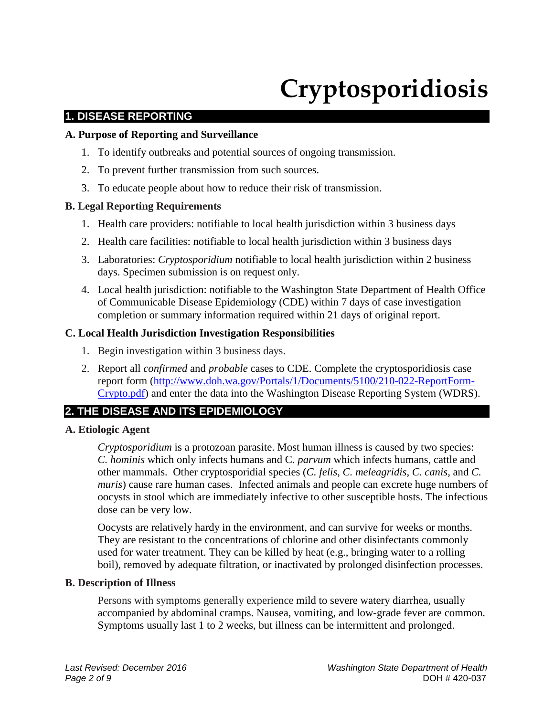# **Cryptosporidiosis**

# **1. DISEASE REPORTING**

#### **A. Purpose of Reporting and Surveillance**

- 1. To identify outbreaks and potential sources of ongoing transmission.
- 2. To prevent further transmission from such sources.
- 3. To educate people about how to reduce their risk of transmission.

## **B. Legal Reporting Requirements**

- 1. Health care providers: notifiable to local health jurisdiction within 3 business days
- 2. Health care facilities: notifiable to local health jurisdiction within 3 business days
- 3. Laboratories: *Cryptosporidium* notifiable to local health jurisdiction within 2 business days. Specimen submission is on request only.
- 4. Local health jurisdiction: notifiable to the Washington State Department of Health Office of Communicable Disease Epidemiology (CDE) within 7 days of case investigation completion or summary information required within 21 days of original report.

## **C. Local Health Jurisdiction Investigation Responsibilities**

- 1. Begin investigation within 3 business days.
- 2. Report all *confirmed* and *probable* cases to CDE. Complete the cryptosporidiosis case report form [\(http://www.doh.wa.gov/Portals/1/Documents/5100/210-022-ReportForm-](http://www.doh.wa.gov/Portals/1/Documents/5100/210-022-ReportForm-Crypto.pdf)[Crypto.pdf\)](http://www.doh.wa.gov/Portals/1/Documents/5100/210-022-ReportForm-Crypto.pdf) and enter the data into the Washington Disease Reporting System (WDRS).

# **2. THE DISEASE AND ITS EPIDEMIOLOGY**

#### **A. Etiologic Agent**

*Cryptosporidium* is a protozoan parasite. Most human illness is caused by two species: *C. hominis* which only infects humans and C*. parvum* which infects humans, cattle and other mammals. Other cryptosporidial species (*C. felis*, *C. meleagridis*, *C. canis*, and *C. muris*) cause rare human cases. Infected animals and people can excrete huge numbers of oocysts in stool which are immediately infective to other susceptible hosts. The infectious dose can be very low.

Oocysts are relatively hardy in the environment, and can survive for weeks or months. They are resistant to the concentrations of chlorine and other disinfectants commonly used for water treatment. They can be killed by heat (e.g., bringing water to a rolling boil), removed by adequate filtration, or inactivated by prolonged disinfection processes.

#### **B. Description of Illness**

Persons with symptoms generally experience mild to severe watery diarrhea, usually accompanied by abdominal cramps. Nausea, vomiting, and low-grade fever are common. Symptoms usually last 1 to 2 weeks, but illness can be intermittent and prolonged.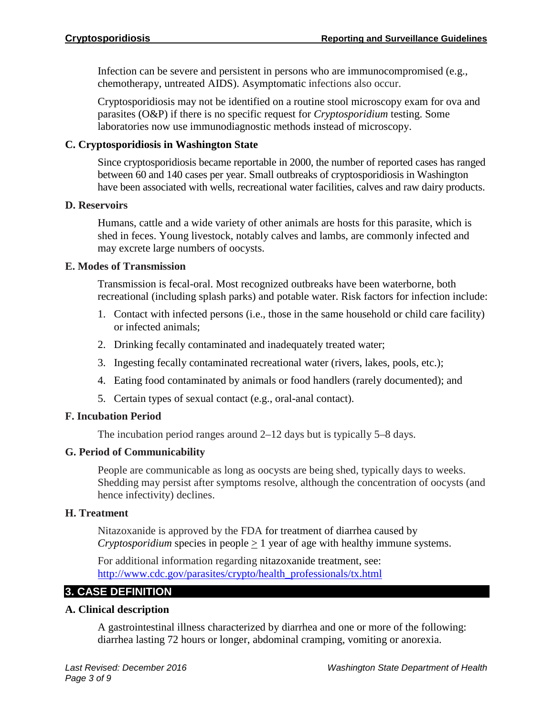Infection can be severe and persistent in persons who are immunocompromised (e.g., chemotherapy, untreated AIDS). Asymptomatic infections also occur.

Cryptosporidiosis may not be identified on a routine stool microscopy exam for ova and parasites (O&P) if there is no specific request for *Cryptosporidium* testing. Some laboratories now use immunodiagnostic methods instead of microscopy.

# **C. Cryptosporidiosis in Washington State**

Since cryptosporidiosis became reportable in 2000, the number of reported cases has ranged between 60 and 140 cases per year. Small outbreaks of cryptosporidiosis in Washington have been associated with wells, recreational water facilities, calves and raw dairy products.

# **D. Reservoirs**

Humans, cattle and a wide variety of other animals are hosts for this parasite, which is shed in feces. Young livestock, notably calves and lambs, are commonly infected and may excrete large numbers of oocysts.

# **E. Modes of Transmission**

Transmission is fecal-oral. Most recognized outbreaks have been waterborne, both recreational (including splash parks) and potable water. Risk factors for infection include:

- 1. Contact with infected persons (i.e., those in the same household or child care facility) or infected animals;
- 2. Drinking fecally contaminated and inadequately treated water;
- 3. Ingesting fecally contaminated recreational water (rivers, lakes, pools, etc.);
- 4. Eating food contaminated by animals or food handlers (rarely documented); and
- 5. Certain types of sexual contact (e.g., oral-anal contact).

# **F. Incubation Period**

The incubation period ranges around 2–12 days but is typically 5–8 days.

# **G. Period of Communicability**

People are communicable as long as oocysts are being shed, typically days to weeks. Shedding may persist after symptoms resolve, although the concentration of oocysts (and hence infectivity) declines.

# **H. Treatment**

Nitazoxanide is approved by the FDA for treatment of diarrhea caused by *Cryptosporidium* species in people > 1 year of age with healthy immune systems.

For additional information regarding nitazoxanide treatment, see: [http://www.cdc.gov/parasites/crypto/health\\_professionals/tx.html](http://www.cdc.gov/parasites/crypto/health_professionals/tx.html)

# **3. CASE DEFINITION**

# **A. Clinical description**

A gastrointestinal illness characterized by diarrhea and one or more of the following: diarrhea lasting 72 hours or longer, abdominal cramping, vomiting or anorexia.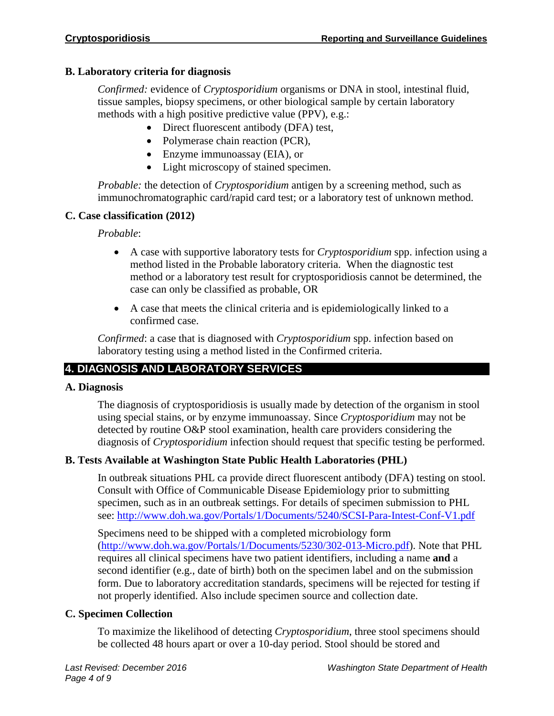# **B. Laboratory criteria for diagnosis**

*Confirmed:* evidence of *Cryptosporidium* organisms or DNA in stool, intestinal fluid, tissue samples, biopsy specimens, or other biological sample by certain laboratory methods with a high positive predictive value (PPV), e.g.:

- Direct fluorescent antibody (DFA) test,
- Polymerase chain reaction (PCR),
- Enzyme immunoassay (EIA), or
- Light microscopy of stained specimen.

*Probable:* the detection of *Cryptosporidium* antigen by a screening method, such as immunochromatographic card/rapid card test; or a laboratory test of unknown method.

# **C. Case classification (2012)**

# *Probable*:

- A case with supportive laboratory tests for *Cryptosporidium* spp. infection using a method listed in the Probable laboratory criteria. When the diagnostic test method or a laboratory test result for cryptosporidiosis cannot be determined, the case can only be classified as probable, OR
- A case that meets the clinical criteria and is epidemiologically linked to a confirmed case.

*Confirmed*: a case that is diagnosed with *Cryptosporidium* spp. infection based on laboratory testing using a method listed in the Confirmed criteria.

# **4. DIAGNOSIS AND LABORATORY SERVICES**

# **A. Diagnosis**

The diagnosis of cryptosporidiosis is usually made by detection of the organism in stool using special stains, or by enzyme immunoassay. Since *Cryptosporidium* may not be detected by routine O&P stool examination, health care providers considering the diagnosis of *Cryptosporidium* infection should request that specific testing be performed.

# **B. Tests Available at Washington State Public Health Laboratories (PHL)**

In outbreak situations PHL ca provide direct fluorescent antibody (DFA) testing on stool. Consult with Office of Communicable Disease Epidemiology prior to submitting specimen, such as in an outbreak settings. For details of specimen submission to PHL see:<http://www.doh.wa.gov/Portals/1/Documents/5240/SCSI-Para-Intest-Conf-V1.pdf>

Specimens need to be shipped with a completed microbiology form [\(http://www.doh.wa.gov/Portals/1/Documents/5230/302-013-Micro.pdf\)](http://www.doh.wa.gov/Portals/1/Documents/5230/302-013-Micro.pdf). Note that PHL requires all clinical specimens have two patient identifiers, including a name **and** a second identifier (e.g., date of birth) both on the specimen label and on the submission form. Due to laboratory accreditation standards, specimens will be rejected for testing if not properly identified. Also include specimen source and collection date.

# **C. Specimen Collection**

To maximize the likelihood of detecting *Cryptosporidium*, three stool specimens should be collected 48 hours apart or over a 10-day period. Stool should be stored and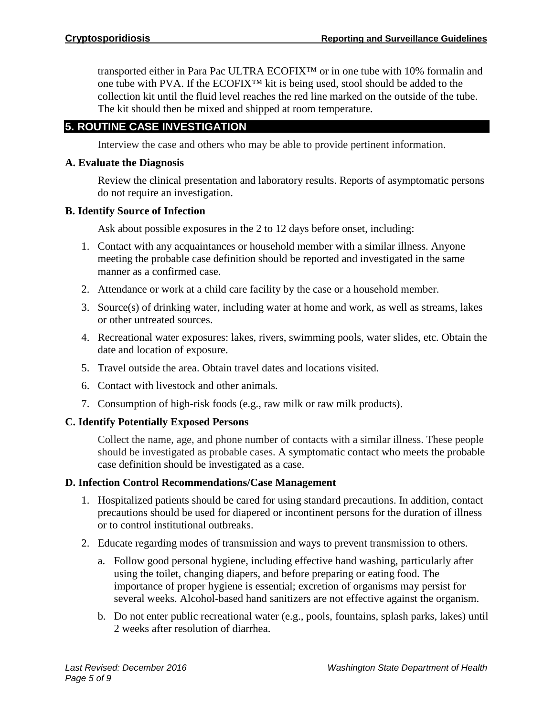transported either in Para Pac ULTRA ECOFIX™ or in one tube with 10% formalin and one tube with PVA. If the ECOFIX™ kit is being used, stool should be added to the collection kit until the fluid level reaches the red line marked on the outside of the tube. The kit should then be mixed and shipped at room temperature.

# **5. ROUTINE CASE INVESTIGATION**

Interview the case and others who may be able to provide pertinent information.

# **A. Evaluate the Diagnosis**

Review the clinical presentation and laboratory results. Reports of asymptomatic persons do not require an investigation.

# **B. Identify Source of Infection**

Ask about possible exposures in the 2 to 12 days before onset, including:

- 1. Contact with any acquaintances or household member with a similar illness. Anyone meeting the probable case definition should be reported and investigated in the same manner as a confirmed case.
- 2. Attendance or work at a child care facility by the case or a household member.
- 3. Source(s) of drinking water, including water at home and work, as well as streams, lakes or other untreated sources.
- 4. Recreational water exposures: lakes, rivers, swimming pools, water slides, etc. Obtain the date and location of exposure.
- 5. Travel outside the area. Obtain travel dates and locations visited.
- 6. Contact with livestock and other animals.
- 7. Consumption of high-risk foods (e.g., raw milk or raw milk products).

# **C. Identify Potentially Exposed Persons**

Collect the name, age, and phone number of contacts with a similar illness. These people should be investigated as probable cases. A symptomatic contact who meets the probable case definition should be investigated as a case.

# **D. Infection Control Recommendations/Case Management**

- 1. Hospitalized patients should be cared for using standard precautions. In addition, contact precautions should be used for diapered or incontinent persons for the duration of illness or to control institutional outbreaks.
- 2. Educate regarding modes of transmission and ways to prevent transmission to others.
	- a. Follow good personal hygiene, including effective hand washing, particularly after using the toilet, changing diapers, and before preparing or eating food. The importance of proper hygiene is essential; excretion of organisms may persist for several weeks. Alcohol-based hand sanitizers are not effective against the organism.
	- b. Do not enter public recreational water (e.g., pools, fountains, splash parks, lakes) until 2 weeks after resolution of diarrhea.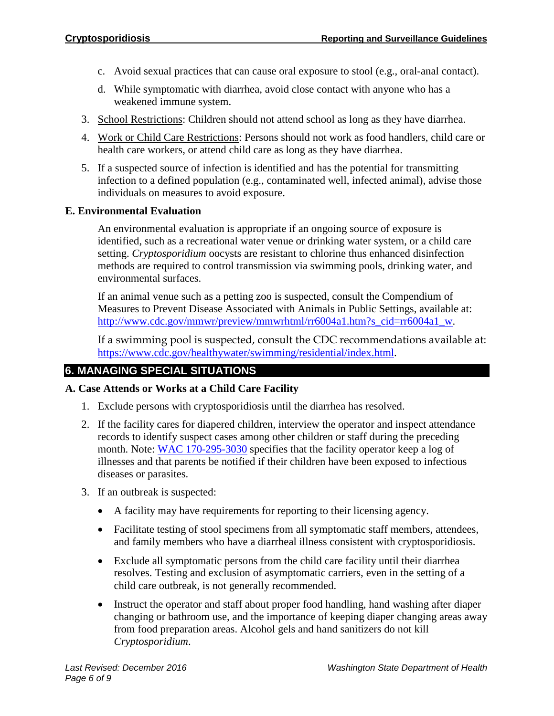- c. Avoid sexual practices that can cause oral exposure to stool (e.g., oral-anal contact).
- d. While symptomatic with diarrhea, avoid close contact with anyone who has a weakened immune system.
- 3. School Restrictions: Children should not attend school as long as they have diarrhea.
- 4. Work or Child Care Restrictions: Persons should not work as food handlers, child care or health care workers, or attend child care as long as they have diarrhea.
- 5. If a suspected source of infection is identified and has the potential for transmitting infection to a defined population (e.g., contaminated well, infected animal), advise those individuals on measures to avoid exposure.

## **E. Environmental Evaluation**

An environmental evaluation is appropriate if an ongoing source of exposure is identified, such as a recreational water venue or drinking water system, or a child care setting. *Cryptosporidium* oocysts are resistant to chlorine thus enhanced disinfection methods are required to control transmission via swimming pools, drinking water, and environmental surfaces.

If an animal venue such as a petting zoo is suspected, consult the Compendium of Measures to Prevent Disease Associated with Animals in Public Settings, available at: [http://www.cdc.gov/mmwr/preview/mmwrhtml/rr6004a1.htm?s\\_cid=rr6004a1\\_w.](http://www.cdc.gov/mmwr/preview/mmwrhtml/rr6004a1.htm?s_cid=rr6004a1_w)

If a swimming pool is suspected, consult the CDC recommendations available at: [https://www.cdc.gov/healthywater/swimming/residential/index.html.](https://www.cdc.gov/healthywater/swimming/residential/index.html)

# **6. MANAGING SPECIAL SITUATIONS**

# **A. Case Attends or Works at a Child Care Facility**

- 1. Exclude persons with cryptosporidiosis until the diarrhea has resolved.
- 2. If the facility cares for diapered children, interview the operator and inspect attendance records to identify suspect cases among other children or staff during the preceding month. Note: [WAC 170-295-3030](http://app.leg.wa.gov/wac/default.aspx?cite=170-295-3030) specifies that the facility operator keep a log of illnesses and that parents be notified if their children have been exposed to infectious diseases or parasites.
- 3. If an outbreak is suspected:
	- A facility may have requirements for reporting to their licensing agency.
	- Facilitate testing of stool specimens from all symptomatic staff members, attendees, and family members who have a diarrheal illness consistent with cryptosporidiosis.
	- Exclude all symptomatic persons from the child care facility until their diarrhea resolves. Testing and exclusion of asymptomatic carriers, even in the setting of a child care outbreak, is not generally recommended.
	- Instruct the operator and staff about proper food handling, hand washing after diaper changing or bathroom use, and the importance of keeping diaper changing areas away from food preparation areas. Alcohol gels and hand sanitizers do not kill *Cryptosporidium*.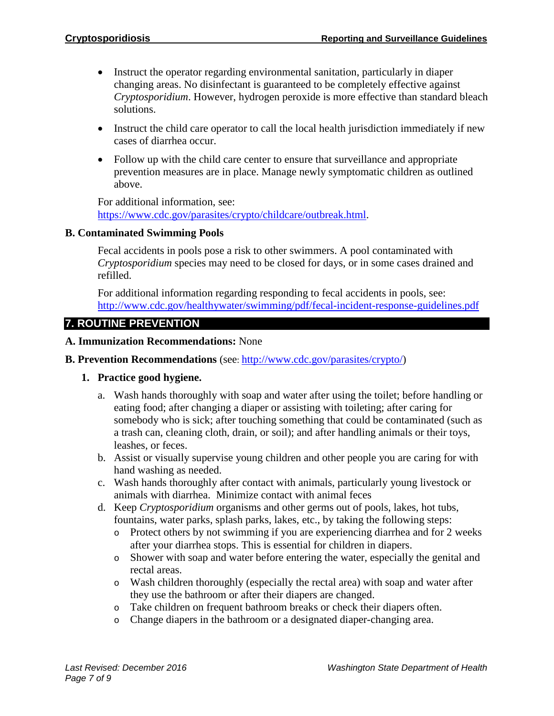- Instruct the operator regarding environmental sanitation, particularly in diaper changing areas. No disinfectant is guaranteed to be completely effective against *Cryptosporidium*. However, hydrogen peroxide is more effective than standard bleach solutions.
- Instruct the child care operator to call the local health jurisdiction immediately if new cases of diarrhea occur.
- Follow up with the child care center to ensure that surveillance and appropriate prevention measures are in place. Manage newly symptomatic children as outlined above.

For additional information, see:

[https://www.cdc.gov/parasites/crypto/childcare/outbreak.html.](https://www.cdc.gov/parasites/crypto/childcare/outbreak.html)

#### **B. Contaminated Swimming Pools**

Fecal accidents in pools pose a risk to other swimmers. A pool contaminated with *Cryptosporidium* species may need to be closed for days, or in some cases drained and refilled.

For additional information regarding responding to fecal accidents in pools, see: <http://www.cdc.gov/healthywater/swimming/pdf/fecal-incident-response-guidelines.pdf>

# **7. ROUTINE PREVENTION**

**A. Immunization Recommendations:** None

#### **B. Prevention Recommendations** (see: [http://www.cdc.gov/parasites/crypto/\)](http://www.cdc.gov/parasites/crypto/)

#### **1. Practice good hygiene.**

- a. Wash hands thoroughly with soap and water after using the toilet; before handling or eating food; after changing a diaper or assisting with toileting; after caring for somebody who is sick; after touching something that could be contaminated (such as a trash can, cleaning cloth, drain, or soil); and after handling animals or their toys, leashes, or feces.
- b. Assist or visually supervise young children and other people you are caring for with hand washing as needed.
- c. Wash hands thoroughly after contact with animals, particularly young livestock or animals with diarrhea. Minimize contact with animal feces
- d. Keep *Cryptosporidium* organisms and other germs out of pools, lakes, hot tubs, fountains, water parks, splash parks, lakes, etc., by taking the following steps:
	- o Protect others by not swimming if you are experiencing diarrhea and for 2 weeks after your diarrhea stops. This is essential for children in diapers.
	- o Shower with soap and water before entering the water, especially the genital and rectal areas.
	- o Wash children thoroughly (especially the rectal area) with soap and water after they use the bathroom or after their diapers are changed.
	- o Take children on frequent bathroom breaks or check their diapers often.
	- o Change diapers in the bathroom or a designated diaper-changing area.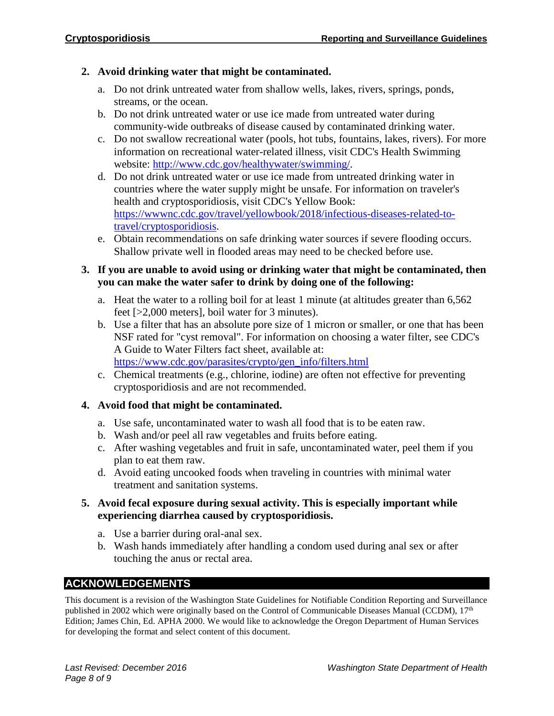# **2. Avoid drinking water that might be contaminated.**

- a. Do not drink untreated water from shallow wells, lakes, rivers, springs, ponds, streams, or the ocean.
- b. Do not drink untreated water or use ice made from untreated water during community-wide outbreaks of disease caused by contaminated drinking water.
- c. Do not swallow recreational water (pools, hot tubs, fountains, lakes, rivers). For more information on recreational water-related illness, visit CDC's Health Swimming website: [http://www.cdc.gov/healthywater/swimming/.](http://www.cdc.gov/healthywater/swimming/)
- d. Do not drink untreated water or use ice made from untreated drinking water in countries where the water supply might be unsafe. For information on traveler's health and cryptosporidiosis, visit CDC's Yellow Book: [https://wwwnc.cdc.gov/travel/yellowbook/2018/infectious-diseases-related-to](https://wwwnc.cdc.gov/travel/yellowbook/2018/infectious-diseases-related-to-travel/cryptosporidiosis)[travel/cryptosporidiosis.](https://wwwnc.cdc.gov/travel/yellowbook/2018/infectious-diseases-related-to-travel/cryptosporidiosis)
- e. Obtain recommendations on safe drinking water sources if severe flooding occurs. Shallow private well in flooded areas may need to be checked before use.

# **3. If you are unable to avoid using or drinking water that might be contaminated, then you can make the water safer to drink by doing one of the following:**

- a. Heat the water to a rolling boil for at least 1 minute (at altitudes greater than 6,562 feet [>2,000 meters], boil water for 3 minutes).
- b. Use a filter that has an absolute pore size of 1 micron or smaller, or one that has been NSF rated for "cyst removal". For information on choosing a water filter, see CDC's A Guide to Water Filters fact sheet, available at: [https://www.cdc.gov/parasites/crypto/gen\\_info/filters.html](https://www.cdc.gov/parasites/crypto/gen_info/filters.html)
- c. Chemical treatments (e.g., chlorine, iodine) are often not effective for preventing cryptosporidiosis and are not recommended.

# **4. Avoid food that might be contaminated.**

- a. Use safe, uncontaminated water to wash all food that is to be eaten raw.
- b. Wash and/or peel all raw vegetables and fruits before eating.
- c. After washing vegetables and fruit in safe, uncontaminated water, peel them if you plan to eat them raw.
- d. Avoid eating uncooked foods when traveling in countries with minimal water treatment and sanitation systems.

# **5. Avoid fecal exposure during sexual activity. This is especially important while experiencing diarrhea caused by cryptosporidiosis.**

- a. Use a barrier during oral-anal sex.
- b. Wash hands immediately after handling a condom used during anal sex or after touching the anus or rectal area.

# **ACKNOWLEDGEMENTS**

This document is a revision of the Washington State Guidelines for Notifiable Condition Reporting and Surveillance published in 2002 which were originally based on the Control of Communicable Diseases Manual (CCDM),  $17<sup>th</sup>$ Edition; James Chin, Ed. APHA 2000. We would like to acknowledge the Oregon Department of Human Services for developing the format and select content of this document.